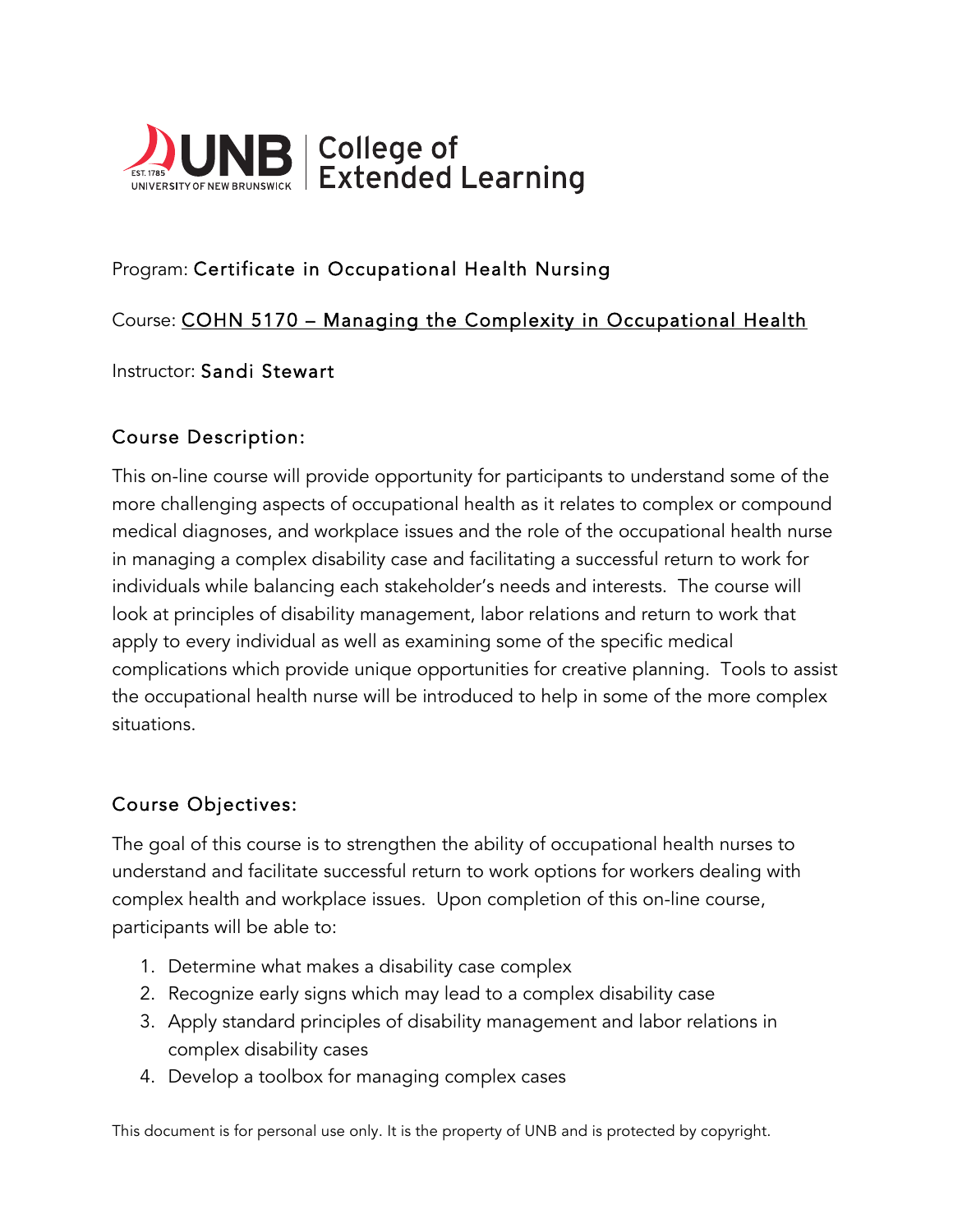

# Program: Certificate in Occupational Health Nursing

## Course: COHN 5170 – Managing the Complexity in Occupational Health

#### Instructor: Sandi Stewart

#### Course Description:

This on-line course will provide opportunity for participants to understand some of the more challenging aspects of occupational health as it relates to complex or compound medical diagnoses, and workplace issues and the role of the occupational health nurse in managing a complex disability case and facilitating a successful return to work for individuals while balancing each stakeholder's needs and interests. The course will look at principles of disability management, labor relations and return to work that apply to every individual as well as examining some of the specific medical complications which provide unique opportunities for creative planning. Tools to assist the occupational health nurse will be introduced to help in some of the more complex situations.

## Course Objectives:

The goal of this course is to strengthen the ability of occupational health nurses to understand and facilitate successful return to work options for workers dealing with complex health and workplace issues. Upon completion of this on-line course, participants will be able to:

- 1. Determine what makes a disability case complex
- 2. Recognize early signs which may lead to a complex disability case
- 3. Apply standard principles of disability management and labor relations in complex disability cases
- 4. Develop a toolbox for managing complex cases

This document is for personal use only. It is the property of UNB and is protected by copyright.